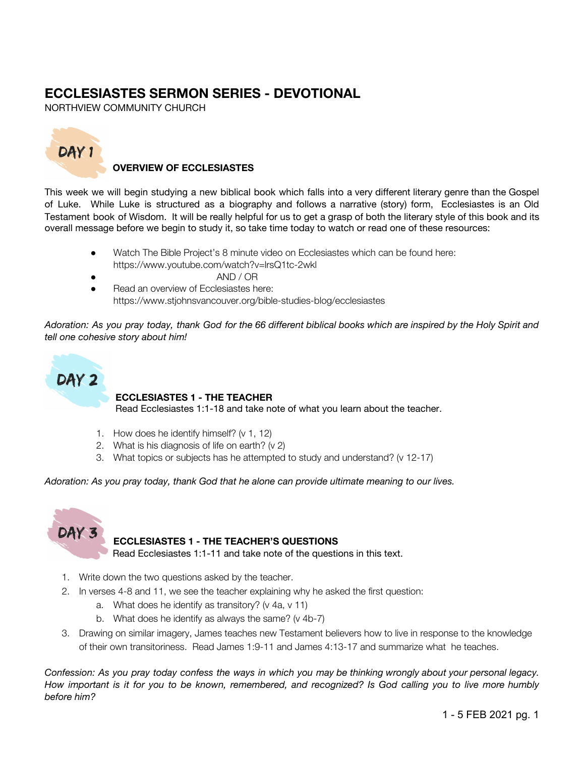# **ECCLESIASTES SERMON SERIES - DEVOTIONAL**

NORTHVIEW COMMUNITY CHURCH



## **OVERVIEW OF ECCLESIASTES**

This week we will begin studying a new biblical book which falls into a very different literary genre than the Gospel of Luke. While Luke is structured as a biography and follows a narrative (story) form, Ecclesiastes is an Old Testament book of Wisdom. It will be really helpful for us to get a grasp of both the literary style of this book and its overall message before we begin to study it, so take time today to watch or read one of these resources:

- Watch The Bible Project's 8 minute video on Ecclesiastes which can be found here: https://www.youtube.com/watch?v=lrsQ1tc-2wkl
	- AND / OR
- **Read an overview of Ecclesiastes here:** https://www.stjohnsvancouver.org/bible-studies-blog/ecclesiastes

Adoration: As you pray today, thank God for the 66 different biblical books which are inspired by the Holy Spirit and *tell one cohesive story about him!*



### **ECCLESIASTES 1 - THE TEACHER**

Read Ecclesiastes 1:1-18 and take note of what you learn about the teacher.

- 1. How does he identify himself? (v 1, 12)
- 2. What is his diagnosis of life on earth? (v 2)
- 3. What topics or subjects has he attempted to study and understand? (v 12-17)

*Adoration: As you pray today, thank God that he alone can provide ultimate meaning to our lives.*



## **ECCLESIASTES 1 - THE TEACHER'S QUESTIONS**

Read Ecclesiastes 1:1-11 and take note of the questions in this text.

- 1. Write down the two questions asked by the teacher.
- 2. In verses 4-8 and 11, we see the teacher explaining why he asked the first question:
	- a. What does he identify as transitory? (v 4a, v 11)
	- b. What does he identify as always the same? (v 4b-7)
- 3. Drawing on similar imagery, James teaches new Testament believers how to live in response to the knowledge of their own transitoriness. Read James 1:9-11 and James 4:13-17 and summarize what he teaches.

Confession: As you pray today confess the ways in which you may be thinking wrongly about your personal legacy. How important is it for you to be known, remembered, and recognized? Is God calling you to live more humbly *before him?*